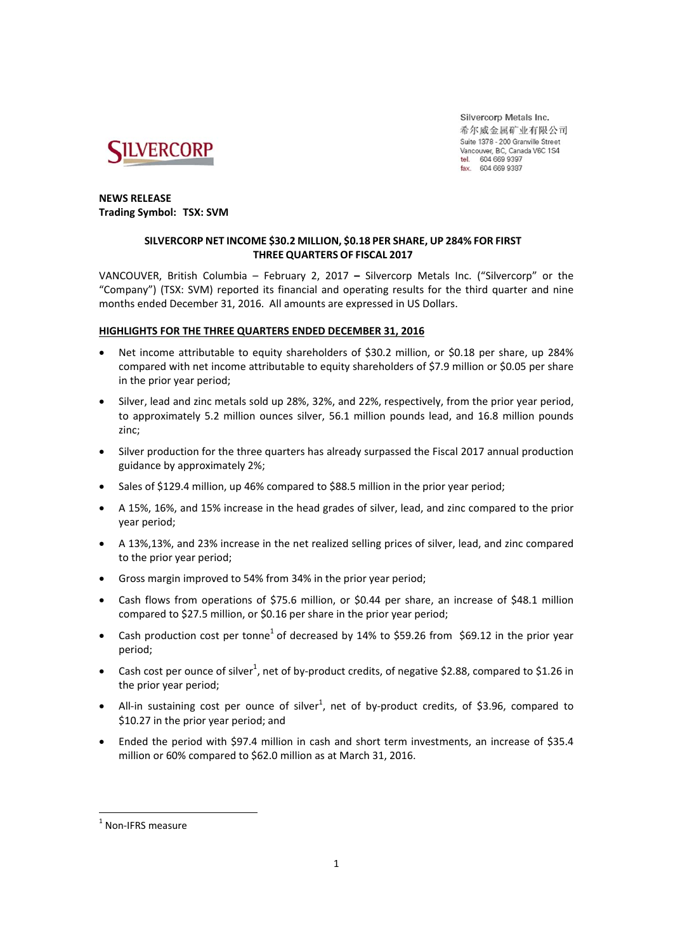

Silvercorp Metals Inc. 希尔威金属矿业有限公司 Suite 1378 - 200 Granville Street Vancouver, BC, Canada V6C 1S4 tel. 604 669 9397 fax. 604 669 9387

## **NEWS RELEASE Trading Symbol: TSX: SVM**

## **SILVERCORP NET INCOME \$30.2 MILLION, \$0.18 PER SHARE, UP 284% FOR FIRST THREE QUARTERS OF FISCAL 2017**

VANCOUVER, British Columbia – February 2, 2017 **–** Silvercorp Metals Inc. ("Silvercorp" or the "Company") (TSX: SVM) reported its financial and operating results for the third quarter and nine months ended December 31, 2016. All amounts are expressed in US Dollars.

## **HIGHLIGHTS FOR THE THREE QUARTERS ENDED DECEMBER 31, 2016**

- Net income attributable to equity shareholders of \$30.2 million, or \$0.18 per share, up 284% compared with net income attributable to equity shareholders of \$7.9 million or \$0.05 per share in the prior year period;
- Silver, lead and zinc metals sold up 28%, 32%, and 22%, respectively, from the prior year period, to approximately 5.2 million ounces silver, 56.1 million pounds lead, and 16.8 million pounds zinc;
- Silver production for the three quarters has already surpassed the Fiscal 2017 annual production guidance by approximately 2%;
- Sales of \$129.4 million, up 46% compared to \$88.5 million in the prior year period;
- A 15%, 16%, and 15% increase in the head grades of silver, lead, and zinc compared to the prior year period;
- A 13%,13%, and 23% increase in the net realized selling prices of silver, lead, and zinc compared to the prior year period;
- Gross margin improved to 54% from 34% in the prior year period;
- Cash flows from operations of \$75.6 million, or \$0.44 per share, an increase of \$48.1 million compared to \$27.5 million, or \$0.16 per share in the prior year period;
- Cash production cost per tonne<sup>1</sup> of decreased by 14% to \$59.26 from \$69.12 in the prior year period;
- Cash cost per ounce of silver<sup>1</sup>, net of by-product credits, of negative \$2.88, compared to \$1.26 in the prior year period;
- All-in sustaining cost per ounce of silver<sup>1</sup>, net of by-product credits, of \$3.96, compared to \$10.27 in the prior year period; and
- Ended the period with \$97.4 million in cash and short term investments, an increase of \$35.4 million or 60% compared to \$62.0 million as at March 31, 2016.

-

 $1$  Non-IFRS measure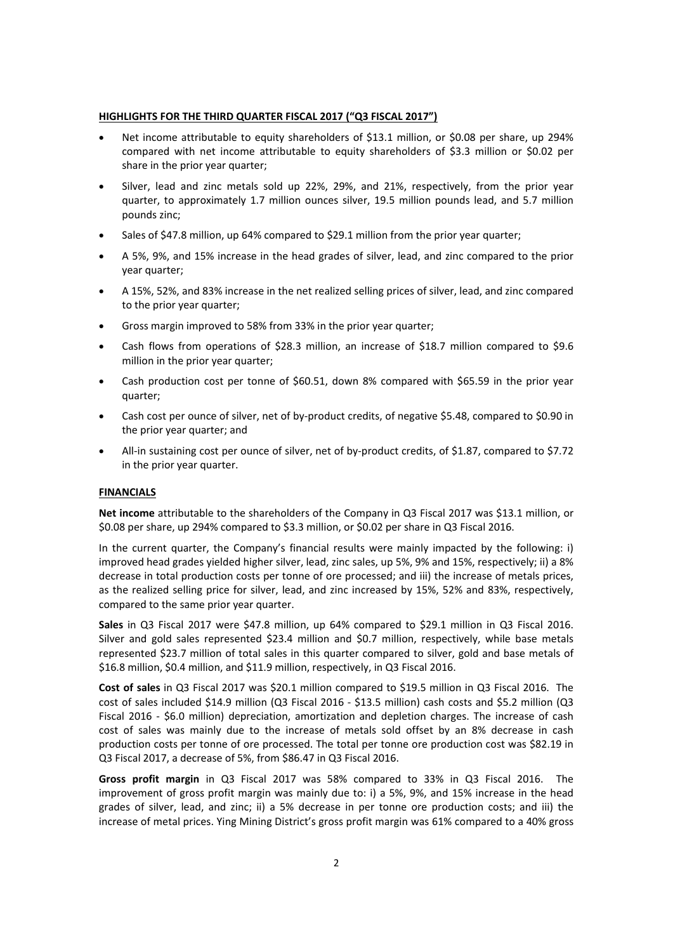### **HIGHLIGHTS FOR THE THIRD QUARTER FISCAL 2017 ("Q3 FISCAL 2017")**

- Net income attributable to equity shareholders of \$13.1 million, or \$0.08 per share, up 294% compared with net income attributable to equity shareholders of \$3.3 million or \$0.02 per share in the prior year quarter;
- Silver, lead and zinc metals sold up 22%, 29%, and 21%, respectively, from the prior year quarter, to approximately 1.7 million ounces silver, 19.5 million pounds lead, and 5.7 million pounds zinc;
- Sales of \$47.8 million, up 64% compared to \$29.1 million from the prior year quarter;
- A 5%, 9%, and 15% increase in the head grades of silver, lead, and zinc compared to the prior year quarter;
- A 15%, 52%, and 83% increase in the net realized selling prices of silver, lead, and zinc compared to the prior year quarter;
- Gross margin improved to 58% from 33% in the prior year quarter;
- Cash flows from operations of \$28.3 million, an increase of \$18.7 million compared to \$9.6 million in the prior year quarter;
- Cash production cost per tonne of \$60.51, down 8% compared with \$65.59 in the prior year quarter;
- Cash cost per ounce of silver, net of by‐product credits, of negative \$5.48, compared to \$0.90 in the prior year quarter; and
- All-in sustaining cost per ounce of silver, net of by-product credits, of \$1.87, compared to \$7.72 in the prior year quarter.

#### **FINANCIALS**

**Net income** attributable to the shareholders of the Company in Q3 Fiscal 2017 was \$13.1 million, or \$0.08 per share, up 294% compared to \$3.3 million, or \$0.02 per share in Q3 Fiscal 2016.

In the current quarter, the Company's financial results were mainly impacted by the following: i) improved head grades yielded higher silver, lead, zinc sales, up 5%, 9% and 15%, respectively; ii) a 8% decrease in total production costs per tonne of ore processed; and iii) the increase of metals prices, as the realized selling price for silver, lead, and zinc increased by 15%, 52% and 83%, respectively, compared to the same prior year quarter.

**Sales** in Q3 Fiscal 2017 were \$47.8 million, up 64% compared to \$29.1 million in Q3 Fiscal 2016. Silver and gold sales represented \$23.4 million and \$0.7 million, respectively, while base metals represented \$23.7 million of total sales in this quarter compared to silver, gold and base metals of \$16.8 million, \$0.4 million, and \$11.9 million, respectively, in Q3 Fiscal 2016.

**Cost of sales** in Q3 Fiscal 2017 was \$20.1 million compared to \$19.5 million in Q3 Fiscal 2016. The cost of sales included \$14.9 million (Q3 Fiscal 2016 ‐ \$13.5 million) cash costs and \$5.2 million (Q3 Fiscal 2016 - \$6.0 million) depreciation, amortization and depletion charges. The increase of cash cost of sales was mainly due to the increase of metals sold offset by an 8% decrease in cash production costs per tonne of ore processed. The total per tonne ore production cost was \$82.19 in Q3 Fiscal 2017, a decrease of 5%, from \$86.47 in Q3 Fiscal 2016.

**Gross profit margin** in Q3 Fiscal 2017 was 58% compared to 33% in Q3 Fiscal 2016. The improvement of gross profit margin was mainly due to: i) a 5%, 9%, and 15% increase in the head grades of silver, lead, and zinc; ii) a 5% decrease in per tonne ore production costs; and iii) the increase of metal prices. Ying Mining District's gross profit margin was 61% compared to a 40% gross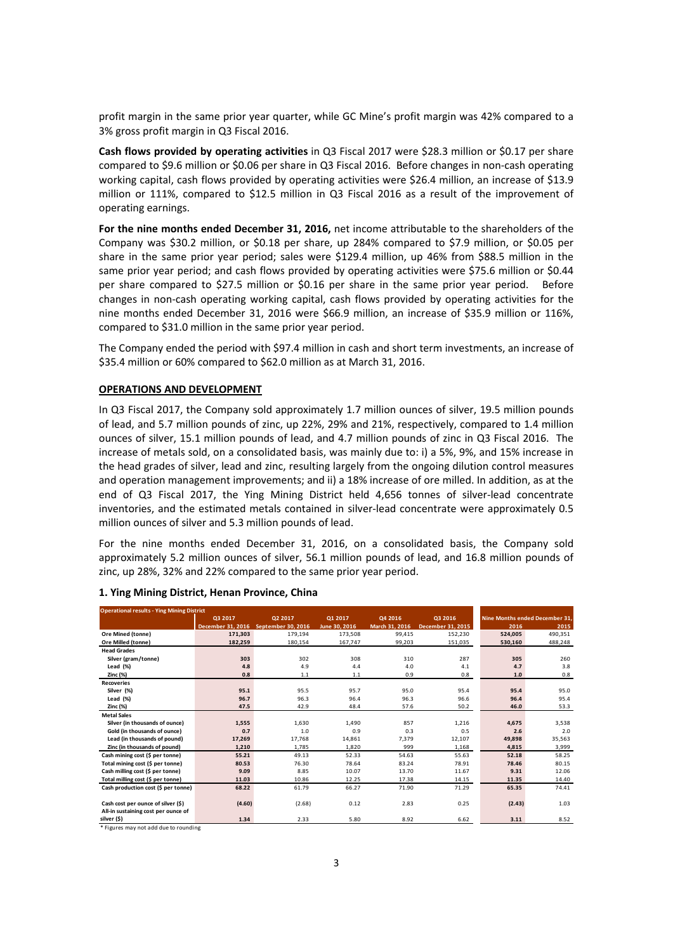profit margin in the same prior year quarter, while GC Mine's profit margin was 42% compared to a 3% gross profit margin in Q3 Fiscal 2016.

**Cash flows provided by operating activities** in Q3 Fiscal 2017 were \$28.3 million or \$0.17 per share compared to \$9.6 million or \$0.06 per share in Q3 Fiscal 2016. Before changes in non‐cash operating working capital, cash flows provided by operating activities were \$26.4 million, an increase of \$13.9 million or 111%, compared to \$12.5 million in Q3 Fiscal 2016 as a result of the improvement of operating earnings.

**For the nine months ended December 31, 2016,** net income attributable to the shareholders of the Company was \$30.2 million, or \$0.18 per share, up 284% compared to \$7.9 million, or \$0.05 per share in the same prior year period; sales were \$129.4 million, up 46% from \$88.5 million in the same prior year period; and cash flows provided by operating activities were \$75.6 million or \$0.44 per share compared to \$27.5 million or \$0.16 per share in the same prior year period. Before changes in non‐cash operating working capital, cash flows provided by operating activities for the nine months ended December 31, 2016 were \$66.9 million, an increase of \$35.9 million or 116%, compared to \$31.0 million in the same prior year period.

The Company ended the period with \$97.4 million in cash and short term investments, an increase of \$35.4 million or 60% compared to \$62.0 million as at March 31, 2016.

#### **OPERATIONS AND DEVELOPMENT**

In Q3 Fiscal 2017, the Company sold approximately 1.7 million ounces of silver, 19.5 million pounds of lead, and 5.7 million pounds of zinc, up 22%, 29% and 21%, respectively, compared to 1.4 million ounces of silver, 15.1 million pounds of lead, and 4.7 million pounds of zinc in Q3 Fiscal 2016. The increase of metals sold, on a consolidated basis, was mainly due to: i) a 5%, 9%, and 15% increase in the head grades of silver, lead and zinc, resulting largely from the ongoing dilution control measures and operation management improvements; and ii) a 18% increase of ore milled. In addition, as at the end of Q3 Fiscal 2017, the Ying Mining District held 4,656 tonnes of silver-lead concentrate inventories, and the estimated metals contained in silver‐lead concentrate were approximately 0.5 million ounces of silver and 5.3 million pounds of lead.

For the nine months ended December 31, 2016, on a consolidated basis, the Company sold approximately 5.2 million ounces of silver, 56.1 million pounds of lead, and 16.8 million pounds of zinc, up 28%, 32% and 22% compared to the same prior year period.

| <b>Operational results - Ying Mining District</b> |                          |                    |               |                |                   |         |                                |
|---------------------------------------------------|--------------------------|--------------------|---------------|----------------|-------------------|---------|--------------------------------|
|                                                   | Q3 2017                  | Q2 2017            | 01 2017       | Q4 2016        | Q3 2016           |         | Nine Months ended December 31, |
|                                                   | <b>December 31, 2016</b> | September 30, 2016 | June 30, 2016 | March 31, 2016 | December 31, 2015 | 2016    | 2015                           |
| Ore Mined (tonne)                                 | 171,303                  | 179,194            | 173,508       | 99,415         | 152,230           | 524,005 | 490,351                        |
| Ore Milled (tonne)                                | 182,259                  | 180,154            | 167,747       | 99,203         | 151,035           | 530,160 | 488,248                        |
| <b>Head Grades</b>                                |                          |                    |               |                |                   |         |                                |
| Silver (gram/tonne)                               | 303                      | 302                | 308           | 310            | 287               | 305     | 260                            |
| Lead (%)                                          | 4.8                      | 4.9                | 4.4           | 4.0            | 4.1               | 4.7     | 3.8                            |
| Zinc (%)                                          | 0.8                      | 1.1                | 1.1           | 0.9            | 0.8               | 1.0     | 0.8                            |
| <b>Recoveries</b>                                 |                          |                    |               |                |                   |         |                                |
| Silver (%)                                        | 95.1                     | 95.5               | 95.7          | 95.0           | 95.4              | 95.4    | 95.0                           |
| Lead (%)                                          | 96.7                     | 96.3               | 96.4          | 96.3           | 96.6              | 96.4    | 95.4                           |
| Zinc (%)                                          | 47.5                     | 42.9               | 48.4          | 57.6           | 50.2              | 46.0    | 53.3                           |
| <b>Metal Sales</b>                                |                          |                    |               |                |                   |         |                                |
| Silver (in thousands of ounce)                    | 1,555                    | 1,630              | 1,490         | 857            | 1,216             | 4,675   | 3,538                          |
| Gold (in thousands of ounce)                      | 0.7                      | 1.0                | 0.9           | 0.3            | 0.5               | 2.6     | 2.0                            |
| Lead (in thousands of pound)                      | 17,269                   | 17.768             | 14,861        | 7.379          | 12,107            | 49,898  | 35,563                         |
| Zinc (in thousands of pound)                      | 1,210                    | 1,785              | 1,820         | 999            | 1,168             | 4,815   | 3,999                          |
| Cash mining cost (\$ per tonne)                   | 55.21                    | 49.13              | 52.33         | 54.63          | 55.63             | 52.18   | 58.25                          |
| Total mining cost (\$ per tonne)                  | 80.53                    | 76.30              | 78.64         | 83.24          | 78.91             | 78.46   | 80.15                          |
| Cash milling cost (\$ per tonne)                  | 9.09                     | 8.85               | 10.07         | 13.70          | 11.67             | 9.31    | 12.06                          |
| Total milling cost (\$ per tonne)                 | 11.03                    | 10.86              | 12.25         | 17.38          | 14.15             | 11.35   | 14.40                          |
| Cash production cost (\$ per tonne)               | 68.22                    | 61.79              | 66.27         | 71.90          | 71.29             | 65.35   | 74.41                          |
|                                                   |                          |                    |               |                |                   |         |                                |
| Cash cost per ounce of silver (\$)                | (4.60)                   | (2.68)             | 0.12          | 2.83           | 0.25              | (2.43)  | 1.03                           |
| All-in sustaining cost per ounce of               |                          |                    |               |                |                   |         |                                |
| silver (\$)                                       | 1.34                     | 2.33               | 5.80          | 8.92           | 6.62              | 3.11    | 8.52                           |

## **1. Ying Mining District, Henan Province, China**

\* Figures may not add due to rounding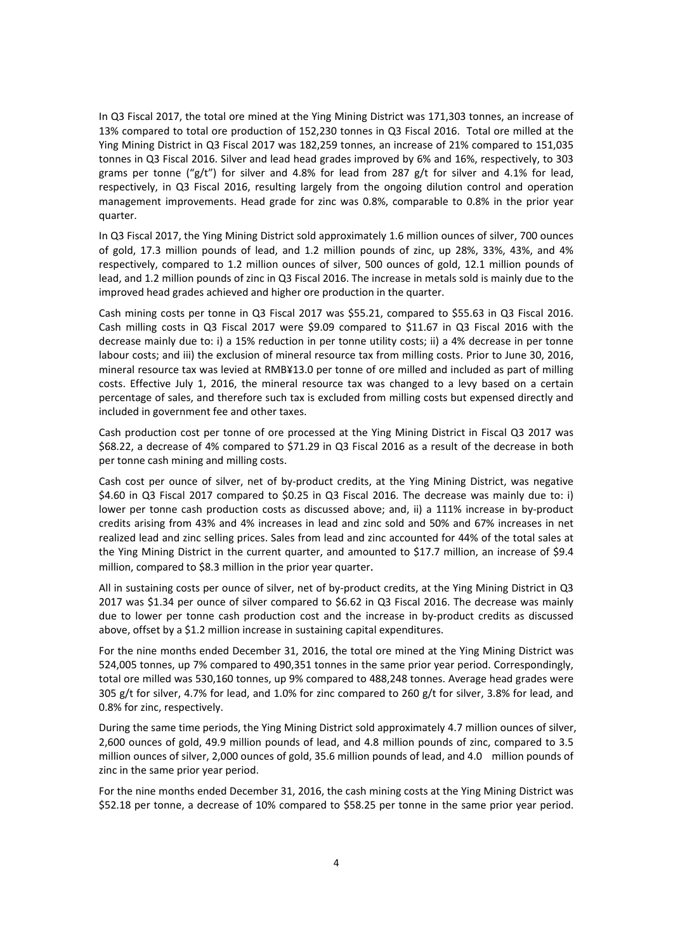In Q3 Fiscal 2017, the total ore mined at the Ying Mining District was 171,303 tonnes, an increase of 13% compared to total ore production of 152,230 tonnes in Q3 Fiscal 2016. Total ore milled at the Ying Mining District in Q3 Fiscal 2017 was 182,259 tonnes, an increase of 21% compared to 151,035 tonnes in Q3 Fiscal 2016. Silver and lead head grades improved by 6% and 16%, respectively, to 303 grams per tonne ("g/t") for silver and 4.8% for lead from 287 g/t for silver and 4.1% for lead, respectively, in Q3 Fiscal 2016, resulting largely from the ongoing dilution control and operation management improvements. Head grade for zinc was 0.8%, comparable to 0.8% in the prior year quarter.

In Q3 Fiscal 2017, the Ying Mining District sold approximately 1.6 million ounces of silver, 700 ounces of gold, 17.3 million pounds of lead, and 1.2 million pounds of zinc, up 28%, 33%, 43%, and 4% respectively, compared to 1.2 million ounces of silver, 500 ounces of gold, 12.1 million pounds of lead, and 1.2 million pounds of zinc in Q3 Fiscal 2016. The increase in metals sold is mainly due to the improved head grades achieved and higher ore production in the quarter.

Cash mining costs per tonne in Q3 Fiscal 2017 was \$55.21, compared to \$55.63 in Q3 Fiscal 2016. Cash milling costs in Q3 Fiscal 2017 were \$9.09 compared to \$11.67 in Q3 Fiscal 2016 with the decrease mainly due to: i) a 15% reduction in per tonne utility costs; ii) a 4% decrease in per tonne labour costs; and iii) the exclusion of mineral resource tax from milling costs. Prior to June 30, 2016, mineral resource tax was levied at RMB¥13.0 per tonne of ore milled and included as part of milling costs. Effective July 1, 2016, the mineral resource tax was changed to a levy based on a certain percentage of sales, and therefore such tax is excluded from milling costs but expensed directly and included in government fee and other taxes.

Cash production cost per tonne of ore processed at the Ying Mining District in Fiscal Q3 2017 was \$68.22, a decrease of 4% compared to \$71.29 in Q3 Fiscal 2016 as a result of the decrease in both per tonne cash mining and milling costs.

Cash cost per ounce of silver, net of by‐product credits, at the Ying Mining District, was negative \$4.60 in Q3 Fiscal 2017 compared to \$0.25 in Q3 Fiscal 2016. The decrease was mainly due to: i) lower per tonne cash production costs as discussed above; and, ii) a 111% increase in by‐product credits arising from 43% and 4% increases in lead and zinc sold and 50% and 67% increases in net realized lead and zinc selling prices. Sales from lead and zinc accounted for 44% of the total sales at the Ying Mining District in the current quarter, and amounted to \$17.7 million, an increase of \$9.4 million, compared to \$8.3 million in the prior year quarter.

All in sustaining costs per ounce of silver, net of by-product credits, at the Ying Mining District in Q3 2017 was \$1.34 per ounce of silver compared to \$6.62 in Q3 Fiscal 2016. The decrease was mainly due to lower per tonne cash production cost and the increase in by‐product credits as discussed above, offset by a \$1.2 million increase in sustaining capital expenditures.

For the nine months ended December 31, 2016, the total ore mined at the Ying Mining District was 524,005 tonnes, up 7% compared to 490,351 tonnes in the same prior year period. Correspondingly, total ore milled was 530,160 tonnes, up 9% compared to 488,248 tonnes. Average head grades were 305 g/t for silver, 4.7% for lead, and 1.0% for zinc compared to 260 g/t for silver, 3.8% for lead, and 0.8% for zinc, respectively.

During the same time periods, the Ying Mining District sold approximately 4.7 million ounces of silver, 2,600 ounces of gold, 49.9 million pounds of lead, and 4.8 million pounds of zinc, compared to 3.5 million ounces of silver, 2,000 ounces of gold, 35.6 million pounds of lead, and 4.0 million pounds of zinc in the same prior year period.

For the nine months ended December 31, 2016, the cash mining costs at the Ying Mining District was \$52.18 per tonne, a decrease of 10% compared to \$58.25 per tonne in the same prior year period.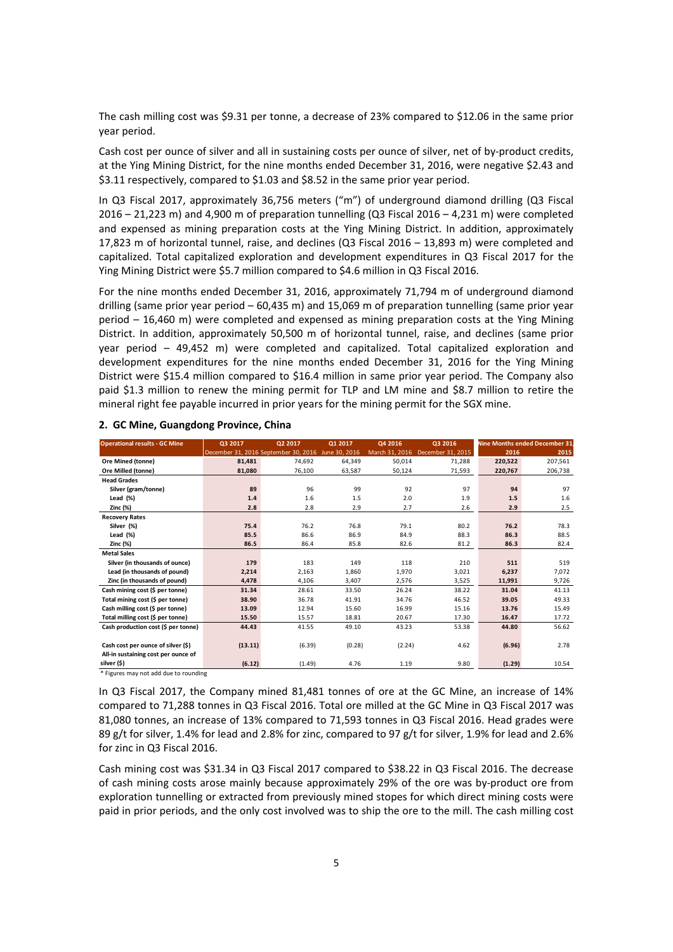The cash milling cost was \$9.31 per tonne, a decrease of 23% compared to \$12.06 in the same prior year period.

Cash cost per ounce of silver and all in sustaining costs per ounce of silver, net of by-product credits, at the Ying Mining District, for the nine months ended December 31, 2016, were negative \$2.43 and \$3.11 respectively, compared to \$1.03 and \$8.52 in the same prior year period.

In Q3 Fiscal 2017, approximately 36,756 meters ("m") of underground diamond drilling (Q3 Fiscal 2016 – 21,223 m) and 4,900 m of preparation tunnelling (Q3 Fiscal 2016 – 4,231 m) were completed and expensed as mining preparation costs at the Ying Mining District. In addition, approximately 17,823 m of horizontal tunnel, raise, and declines (Q3 Fiscal 2016 – 13,893 m) were completed and capitalized. Total capitalized exploration and development expenditures in Q3 Fiscal 2017 for the Ying Mining District were \$5.7 million compared to \$4.6 million in Q3 Fiscal 2016.

For the nine months ended December 31, 2016, approximately 71,794 m of underground diamond drilling (same prior year period – 60,435 m) and 15,069 m of preparation tunnelling (same prior year period – 16,460 m) were completed and expensed as mining preparation costs at the Ying Mining District. In addition, approximately 50,500 m of horizontal tunnel, raise, and declines (same prior year period – 49,452 m) were completed and capitalized. Total capitalized exploration and development expenditures for the nine months ended December 31, 2016 for the Ying Mining District were \$15.4 million compared to \$16.4 million in same prior year period. The Company also paid \$1.3 million to renew the mining permit for TLP and LM mine and \$8.7 million to retire the mineral right fee payable incurred in prior years for the mining permit for the SGX mine.

| <b>Operational results - GC Mine</b> | Q3 2017 | Q2 2017                                            | Q1 2017 | Q4 2016        | Q3 2016           |         | <b>Nine Months ended December 31</b> |
|--------------------------------------|---------|----------------------------------------------------|---------|----------------|-------------------|---------|--------------------------------------|
|                                      |         | December 31, 2016 September 30, 2016 June 30, 2016 |         | March 31, 2016 | December 31, 2015 | 2016    | 2015                                 |
| Ore Mined (tonne)                    | 81,481  | 74,692                                             | 64,349  | 50,014         | 71.288            | 220,522 | 207,561                              |
| Ore Milled (tonne)                   | 81,080  | 76,100                                             | 63,587  | 50,124         | 71,593            | 220,767 | 206,738                              |
| <b>Head Grades</b>                   |         |                                                    |         |                |                   |         |                                      |
| Silver (gram/tonne)                  | 89      | 96                                                 | 99      | 92             | 97                | 94      | 97                                   |
| Lead $(%)$                           | 1.4     | 1.6                                                | 1.5     | 2.0            | 1.9               | 1.5     | 1.6                                  |
| <b>Zinc (%)</b>                      | 2.8     | 2.8                                                | 2.9     | 2.7            | 2.6               | 2.9     | 2.5                                  |
| <b>Recovery Rates</b>                |         |                                                    |         |                |                   |         |                                      |
| Silver (%)                           | 75.4    | 76.2                                               | 76.8    | 79.1           | 80.2              | 76.2    | 78.3                                 |
| Lead $(%)$                           | 85.5    | 86.6                                               | 86.9    | 84.9           | 88.3              | 86.3    | 88.5                                 |
| Zinc (%)                             | 86.5    | 86.4                                               | 85.8    | 82.6           | 81.2              | 86.3    | 82.4                                 |
| <b>Metal Sales</b>                   |         |                                                    |         |                |                   |         |                                      |
| Silver (in thousands of ounce)       | 179     | 183                                                | 149     | 118            | 210               | 511     | 519                                  |
| Lead (in thousands of pound)         | 2,214   | 2,163                                              | 1,860   | 1,970          | 3,021             | 6,237   | 7,072                                |
| Zinc (in thousands of pound)         | 4,478   | 4,106                                              | 3,407   | 2,576          | 3,525             | 11,991  | 9,726                                |
| Cash mining cost (\$ per tonne)      | 31.34   | 28.61                                              | 33.50   | 26.24          | 38.22             | 31.04   | 41.13                                |
| Total mining cost (\$ per tonne)     | 38.90   | 36.78                                              | 41.91   | 34.76          | 46.52             | 39.05   | 49.33                                |
| Cash milling cost (\$ per tonne)     | 13.09   | 12.94                                              | 15.60   | 16.99          | 15.16             | 13.76   | 15.49                                |
| Total milling cost (\$ per tonne)    | 15.50   | 15.57                                              | 18.81   | 20.67          | 17.30             | 16.47   | 17.72                                |
| Cash production cost (\$ per tonne)  | 44.43   | 41.55                                              | 49.10   | 43.23          | 53.38             | 44.80   | 56.62                                |
|                                      |         |                                                    |         |                |                   |         |                                      |
| Cash cost per ounce of silver (\$)   | (13.11) | (6.39)                                             | (0.28)  | (2.24)         | 4.62              | (6.96)  | 2.78                                 |
| All-in sustaining cost per ounce of  |         |                                                    |         |                |                   |         |                                      |
| silver (\$)                          | (6.12)  | (1.49)                                             | 4.76    | 1.19           | 9.80              | (1.29)  | 10.54                                |
| Eigures may not add due to rounding  |         |                                                    |         |                |                   |         |                                      |

#### **2. GC Mine, Guangdong Province, China**

\* Figures may not add due to roundi

In Q3 Fiscal 2017, the Company mined 81,481 tonnes of ore at the GC Mine, an increase of 14% compared to 71,288 tonnes in Q3 Fiscal 2016. Total ore milled at the GC Mine in Q3 Fiscal 2017 was 81,080 tonnes, an increase of 13% compared to 71,593 tonnes in Q3 Fiscal 2016. Head grades were 89 g/t for silver, 1.4% for lead and 2.8% for zinc, compared to 97 g/t for silver, 1.9% for lead and 2.6% for zinc in Q3 Fiscal 2016.

Cash mining cost was \$31.34 in Q3 Fiscal 2017 compared to \$38.22 in Q3 Fiscal 2016. The decrease of cash mining costs arose mainly because approximately 29% of the ore was by‐product ore from exploration tunnelling or extracted from previously mined stopes for which direct mining costs were paid in prior periods, and the only cost involved was to ship the ore to the mill. The cash milling cost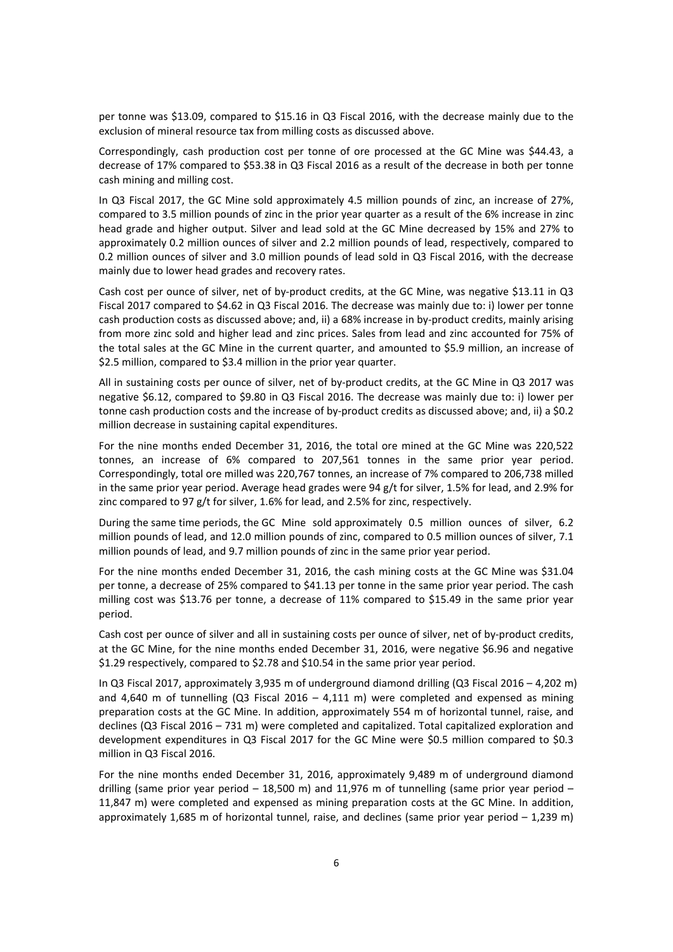per tonne was \$13.09, compared to \$15.16 in Q3 Fiscal 2016, with the decrease mainly due to the exclusion of mineral resource tax from milling costs as discussed above.

Correspondingly, cash production cost per tonne of ore processed at the GC Mine was \$44.43, a decrease of 17% compared to \$53.38 in Q3 Fiscal 2016 as a result of the decrease in both per tonne cash mining and milling cost.

In Q3 Fiscal 2017, the GC Mine sold approximately 4.5 million pounds of zinc, an increase of 27%, compared to 3.5 million pounds of zinc in the prior year quarter as a result of the 6% increase in zinc head grade and higher output. Silver and lead sold at the GC Mine decreased by 15% and 27% to approximately 0.2 million ounces of silver and 2.2 million pounds of lead, respectively, compared to 0.2 million ounces of silver and 3.0 million pounds of lead sold in Q3 Fiscal 2016, with the decrease mainly due to lower head grades and recovery rates.

Cash cost per ounce of silver, net of by‐product credits, at the GC Mine, was negative \$13.11 in Q3 Fiscal 2017 compared to \$4.62 in Q3 Fiscal 2016. The decrease was mainly due to: i) lower per tonne cash production costs as discussed above; and, ii) a 68% increase in by‐product credits, mainly arising from more zinc sold and higher lead and zinc prices. Sales from lead and zinc accounted for 75% of the total sales at the GC Mine in the current quarter, and amounted to \$5.9 million, an increase of \$2.5 million, compared to \$3.4 million in the prior year quarter.

All in sustaining costs per ounce of silver, net of by-product credits, at the GC Mine in Q3 2017 was negative \$6.12, compared to \$9.80 in Q3 Fiscal 2016. The decrease was mainly due to: i) lower per tonne cash production costs and the increase of by-product credits as discussed above; and, ii) a \$0.2 million decrease in sustaining capital expenditures.

For the nine months ended December 31, 2016, the total ore mined at the GC Mine was 220,522 tonnes, an increase of 6% compared to 207,561 tonnes in the same prior year period. Correspondingly, total ore milled was 220,767 tonnes, an increase of 7% compared to 206,738 milled in the same prior year period. Average head grades were 94 g/t for silver, 1.5% for lead, and 2.9% for zinc compared to 97 g/t for silver, 1.6% for lead, and 2.5% for zinc, respectively.

During the same time periods, the GC Mine sold approximately 0.5 million ounces of silver, 6.2 million pounds of lead, and 12.0 million pounds of zinc, compared to 0.5 million ounces of silver, 7.1 million pounds of lead, and 9.7 million pounds of zinc in the same prior year period.

For the nine months ended December 31, 2016, the cash mining costs at the GC Mine was \$31.04 per tonne, a decrease of 25% compared to \$41.13 per tonne in the same prior year period. The cash milling cost was \$13.76 per tonne, a decrease of 11% compared to \$15.49 in the same prior year period.

Cash cost per ounce of silver and all in sustaining costs per ounce of silver, net of by-product credits, at the GC Mine, for the nine months ended December 31, 2016, were negative \$6.96 and negative \$1.29 respectively, compared to \$2.78 and \$10.54 in the same prior year period.

In Q3 Fiscal 2017, approximately 3,935 m of underground diamond drilling (Q3 Fiscal 2016 – 4,202 m) and 4,640 m of tunnelling (Q3 Fiscal 2016 - 4,111 m) were completed and expensed as mining preparation costs at the GC Mine. In addition, approximately 554 m of horizontal tunnel, raise, and declines (Q3 Fiscal 2016 – 731 m) were completed and capitalized. Total capitalized exploration and development expenditures in Q3 Fiscal 2017 for the GC Mine were \$0.5 million compared to \$0.3 million in Q3 Fiscal 2016.

For the nine months ended December 31, 2016, approximately 9,489 m of underground diamond drilling (same prior year period  $-18,500$  m) and 11,976 m of tunnelling (same prior year period  $-$ 11,847 m) were completed and expensed as mining preparation costs at the GC Mine. In addition, approximately 1,685 m of horizontal tunnel, raise, and declines (same prior year period – 1,239 m)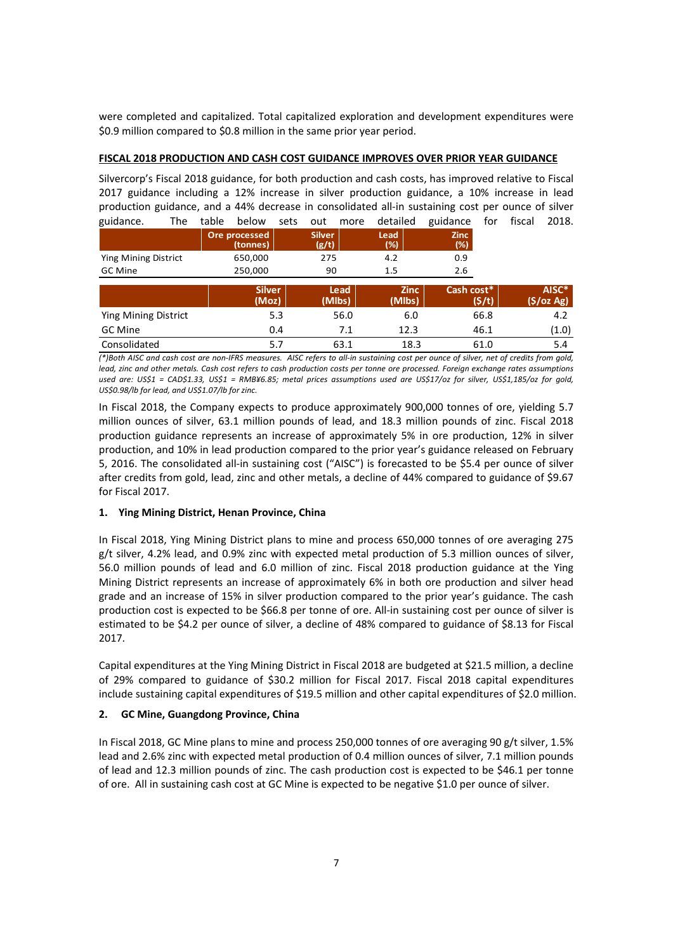were completed and capitalized. Total capitalized exploration and development expenditures were \$0.9 million compared to \$0.8 million in the same prior year period.

## **FISCAL 2018 PRODUCTION AND CASH COST GUIDANCE IMPROVES OVER PRIOR YEAR GUIDANCE**

Silvercorp's Fiscal 2018 guidance, for both production and cash costs, has improved relative to Fiscal 2017 guidance including a 12% increase in silver production guidance, a 10% increase in lead production guidance, and a 44% decrease in consolidated all‐in sustaining cost per ounce of silver guidance. The table below sets out more detailed guidance for fiscal 2018.

| guiualice.                  | 111C | lavic | <b>DEIUW</b>              | <b>SELS</b> | vuu                    | 11 I U I E     | uetalleu           | guiualice   | וטו                  | пэсаг | 2010.              |
|-----------------------------|------|-------|---------------------------|-------------|------------------------|----------------|--------------------|-------------|----------------------|-------|--------------------|
|                             |      |       | Ore processed<br>(tonnes) |             | <b>Silver</b><br>(g/t) |                | <b>Lead</b><br>(%) | <b>Zinc</b> | $(\%)$               |       |                    |
| <b>Ying Mining District</b> |      |       | 650,000                   |             | 275                    |                | 4.2                | 0.9         |                      |       |                    |
| <b>GC</b> Mine              |      |       | 250,000                   |             | 90                     |                | 1.5                |             | 2.6                  |       |                    |
|                             |      |       | <b>Silver</b><br>(Moz)    |             |                        | Lead<br>(Mlbs) | Zinc.<br>(Mlbs)    |             | Cash cost*<br>(\$/t) |       | AISC*<br>(S/oz Ag) |
| <b>Ying Mining District</b> |      |       |                           | 5.3         |                        | 56.0           | 6.0                |             | 66.8                 |       | 4.2                |
| GC Mine                     |      |       |                           | 0.4         |                        | 7.1            | 12.3               |             | 46.1                 |       | (1.0)              |
| Consolidated                |      |       |                           | 5.7         |                        | 63.1           | 18.3               |             | 61.0                 |       | 5.4                |

(\*)Both AISC and cash cost are non-IFRS measures. AISC refers to all-in sustaining cost per ounce of silver, net of credits from gold, lead, zinc and other metals. Cash cost refers to cash production costs per tonne ore processed. Foreign exchange rates assumptions used are: US\$1 = CAD\$1.33, US\$1 = RMB¥6.85; metal prices assumptions used are US\$17/oz for silver, US\$1,185/oz for gold, *US\$0.98/lb for lead, and US\$1.07/lb for zinc.*

In Fiscal 2018, the Company expects to produce approximately 900,000 tonnes of ore, yielding 5.7 million ounces of silver, 63.1 million pounds of lead, and 18.3 million pounds of zinc. Fiscal 2018 production guidance represents an increase of approximately 5% in ore production, 12% in silver production, and 10% in lead production compared to the prior year's guidance released on February 5, 2016. The consolidated all-in sustaining cost ("AISC") is forecasted to be \$5.4 per ounce of silver after credits from gold, lead, zinc and other metals, a decline of 44% compared to guidance of \$9.67 for Fiscal 2017.

## **1. Ying Mining District, Henan Province, China**

In Fiscal 2018, Ying Mining District plans to mine and process 650,000 tonnes of ore averaging 275 g/t silver, 4.2% lead, and 0.9% zinc with expected metal production of 5.3 million ounces of silver, 56.0 million pounds of lead and 6.0 million of zinc. Fiscal 2018 production guidance at the Ying Mining District represents an increase of approximately 6% in both ore production and silver head grade and an increase of 15% in silver production compared to the prior year's guidance. The cash production cost is expected to be \$66.8 per tonne of ore. All‐in sustaining cost per ounce of silver is estimated to be \$4.2 per ounce of silver, a decline of 48% compared to guidance of \$8.13 for Fiscal 2017.

Capital expenditures at the Ying Mining District in Fiscal 2018 are budgeted at \$21.5 million, a decline of 29% compared to guidance of \$30.2 million for Fiscal 2017. Fiscal 2018 capital expenditures include sustaining capital expenditures of \$19.5 million and other capital expenditures of \$2.0 million.

## **2. GC Mine, Guangdong Province, China**

In Fiscal 2018, GC Mine plans to mine and process 250,000 tonnes of ore averaging 90 g/t silver, 1.5% lead and 2.6% zinc with expected metal production of 0.4 million ounces of silver, 7.1 million pounds of lead and 12.3 million pounds of zinc. The cash production cost is expected to be \$46.1 per tonne of ore. All in sustaining cash cost at GC Mine is expected to be negative \$1.0 per ounce of silver.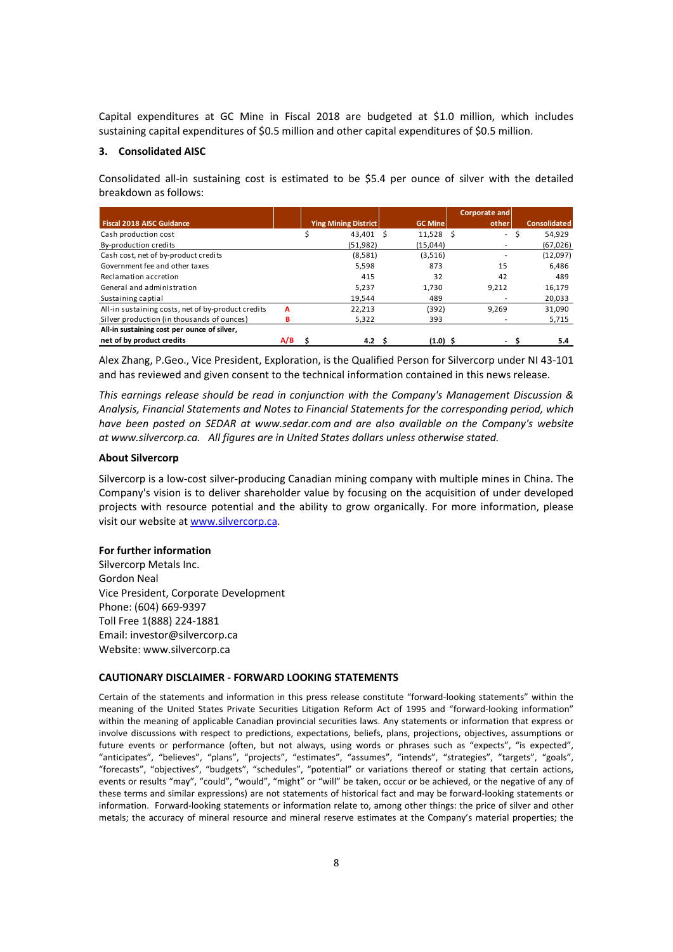Capital expenditures at GC Mine in Fiscal 2018 are budgeted at \$1.0 million, which includes sustaining capital expenditures of \$0.5 million and other capital expenditures of \$0.5 million.

#### **3. Consolidated AISC**

Consolidated all‐in sustaining cost is estimated to be \$5.4 per ounce of silver with the detailed breakdown as follows:

|                                                    |     |                             |                  | Corporate and            |   |                     |
|----------------------------------------------------|-----|-----------------------------|------------------|--------------------------|---|---------------------|
| <b>Fiscal 2018 AISC Guidance</b>                   |     | <b>Ying Mining District</b> | <b>GC Minel</b>  | other                    |   | <b>Consolidated</b> |
| Cash production cost                               |     | 43,401                      | $11,528$ \$<br>S | $\sim$                   | Ŝ | 54,929              |
| By-production credits                              |     | (51, 982)                   | (15,044)         |                          |   | (67, 026)           |
| Cash cost, net of by-product credits               |     | (8,581)                     | (3,516)          |                          |   | (12,097)            |
| Government fee and other taxes                     |     | 5,598                       | 873              | 15                       |   | 6,486               |
| Reclamation accretion                              |     | 415                         | 32               | 42                       |   | 489                 |
| General and administration                         |     | 5,237                       | 1,730            | 9,212                    |   | 16,179              |
| Sustaining captial                                 |     | 19,544                      | 489              |                          |   | 20,033              |
| All-in sustaining costs, net of by-product credits | A   | 22,213                      | (392)            | 9.269                    |   | 31,090              |
| Silver production (in thousands of ounces)         | в   | 5.322                       | 393              |                          |   | 5.715               |
| All-in sustaining cost per ounce of silver,        |     |                             |                  |                          |   |                     |
| net of by product credits                          | A/B | 4.2 <sub>5</sub>            | $(1.0)$ \$       | $\overline{\phantom{a}}$ |   | 5.4                 |

Alex Zhang, P.Geo., Vice President, Exploration, is the Qualified Person for Silvercorp under NI 43‐101 and has reviewed and given consent to the technical information contained in this news release.

*This earnings release should be read in conjunction with the Company's Management Discussion & Analysis, Financial Statements and Notes to Financial Statements for the corresponding period, which have been posted on SEDAR at www.sedar.com and are also available on the Company's website at www.silvercorp.ca. All figures are in United States dollars unless otherwise stated.*

#### **About Silvercorp**

Silvercorp is a low‐cost silver‐producing Canadian mining company with multiple mines in China. The Company's vision is to deliver shareholder value by focusing on the acquisition of under developed projects with resource potential and the ability to grow organically. For more information, please visit our website at www.silvercorp.ca.

#### **For further information**

Silvercorp Metals Inc. Gordon Neal Vice President, Corporate Development Phone: (604) 669‐9397 Toll Free 1(888) 224‐1881 Email: investor@silvercorp.ca Website: www.silvercorp.ca

#### **CAUTIONARY DISCLAIMER ‐ FORWARD LOOKING STATEMENTS**

Certain of the statements and information in this press release constitute "forward‐looking statements" within the meaning of the United States Private Securities Litigation Reform Act of 1995 and "forward‐looking information" within the meaning of applicable Canadian provincial securities laws. Any statements or information that express or involve discussions with respect to predictions, expectations, beliefs, plans, projections, objectives, assumptions or future events or performance (often, but not always, using words or phrases such as "expects", "is expected", "anticipates", "believes", "plans", "projects", "estimates", "assumes", "intends", "strategies", "targets", "goals", "forecasts", "objectives", "budgets", "schedules", "potential" or variations thereof or stating that certain actions, events or results "may", "could", "would", "might" or "will" be taken, occur or be achieved, or the negative of any of these terms and similar expressions) are not statements of historical fact and may be forward‐looking statements or information. Forward‐looking statements or information relate to, among other things: the price of silver and other metals; the accuracy of mineral resource and mineral reserve estimates at the Company's material properties; the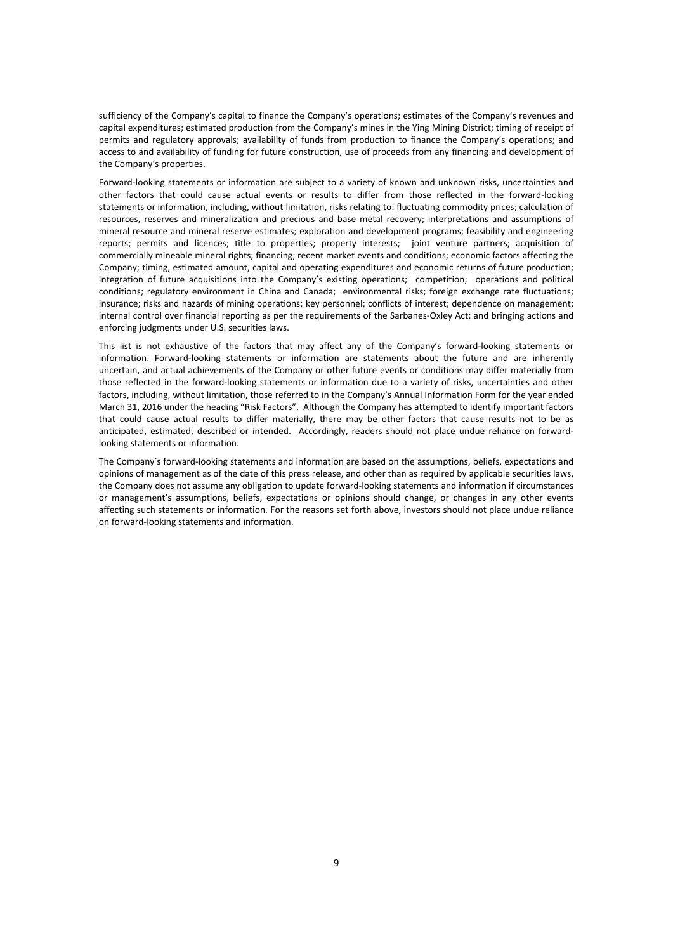sufficiency of the Company's capital to finance the Company's operations; estimates of the Company's revenues and capital expenditures; estimated production from the Company's mines in the Ying Mining District; timing of receipt of permits and regulatory approvals; availability of funds from production to finance the Company's operations; and access to and availability of funding for future construction, use of proceeds from any financing and development of the Company's properties.

Forward‐looking statements or information are subject to a variety of known and unknown risks, uncertainties and other factors that could cause actual events or results to differ from those reflected in the forward‐looking statements or information, including, without limitation, risks relating to: fluctuating commodity prices; calculation of resources, reserves and mineralization and precious and base metal recovery; interpretations and assumptions of mineral resource and mineral reserve estimates; exploration and development programs; feasibility and engineering reports; permits and licences; title to properties; property interests; joint venture partners; acquisition of commercially mineable mineral rights; financing; recent market events and conditions; economic factors affecting the Company; timing, estimated amount, capital and operating expenditures and economic returns of future production; integration of future acquisitions into the Company's existing operations; competition; operations and political conditions; regulatory environment in China and Canada; environmental risks; foreign exchange rate fluctuations; insurance; risks and hazards of mining operations; key personnel; conflicts of interest; dependence on management; internal control over financial reporting as per the requirements of the Sarbanes‐Oxley Act; and bringing actions and enforcing judgments under U.S. securities laws.

This list is not exhaustive of the factors that may affect any of the Company's forward‐looking statements or information. Forward‐looking statements or information are statements about the future and are inherently uncertain, and actual achievements of the Company or other future events or conditions may differ materially from those reflected in the forward‐looking statements or information due to a variety of risks, uncertainties and other factors, including, without limitation, those referred to in the Company's Annual Information Form for the year ended March 31, 2016 under the heading "Risk Factors". Although the Company has attempted to identify important factors that could cause actual results to differ materially, there may be other factors that cause results not to be as anticipated, estimated, described or intended. Accordingly, readers should not place undue reliance on forwardlooking statements or information.

The Company's forward‐looking statements and information are based on the assumptions, beliefs, expectations and opinions of management as of the date of this press release, and other than as required by applicable securities laws, the Company does not assume any obligation to update forward‐looking statements and information if circumstances or management's assumptions, beliefs, expectations or opinions should change, or changes in any other events affecting such statements or information. For the reasons set forth above, investors should not place undue reliance on forward‐looking statements and information.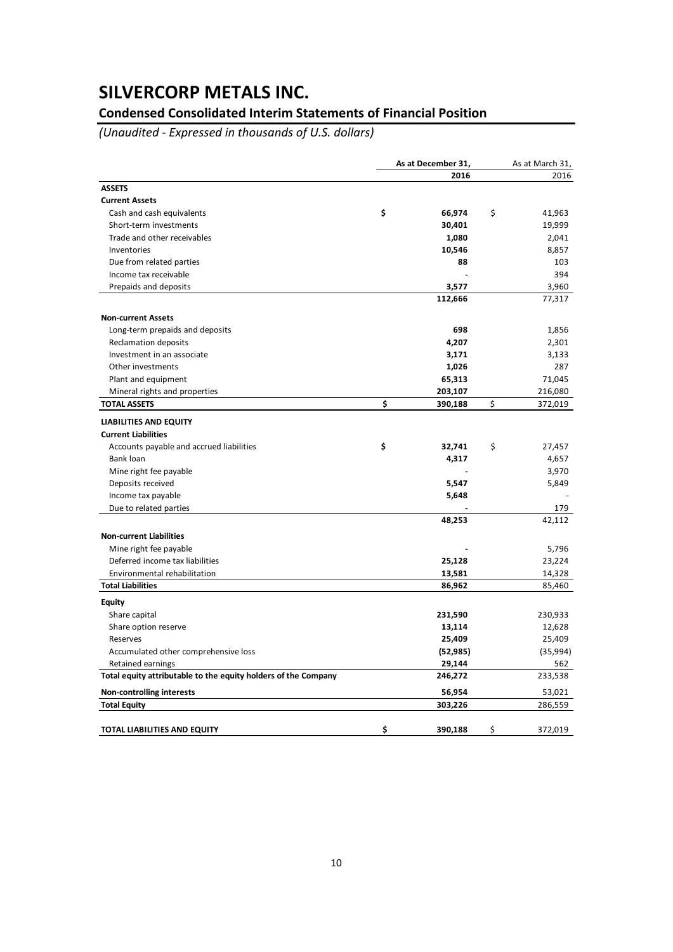## **Condensed Consolidated Interim Statements of Financial Position**

*(Unaudited ‐ Expressed in thousands of U.S. dollars)*

|                                                                | As at December 31, |                    | As at March 31, |                    |
|----------------------------------------------------------------|--------------------|--------------------|-----------------|--------------------|
|                                                                |                    | 2016               |                 | 2016               |
| <b>ASSETS</b>                                                  |                    |                    |                 |                    |
| <b>Current Assets</b>                                          |                    |                    |                 |                    |
| Cash and cash equivalents                                      | \$                 | 66,974             | \$              | 41,963             |
| Short-term investments                                         |                    | 30,401             |                 | 19,999             |
| Trade and other receivables                                    |                    | 1,080              |                 | 2,041              |
| Inventories                                                    |                    | 10,546             |                 | 8,857              |
| Due from related parties                                       |                    | 88                 |                 | 103                |
| Income tax receivable                                          |                    |                    |                 | 394                |
| Prepaids and deposits                                          |                    | 3,577              |                 | 3,960              |
|                                                                |                    | 112,666            |                 | 77,317             |
| <b>Non-current Assets</b>                                      |                    |                    |                 |                    |
| Long-term prepaids and deposits                                |                    | 698                |                 | 1,856              |
| Reclamation deposits                                           |                    | 4,207              |                 | 2,301              |
| Investment in an associate                                     |                    | 3,171              |                 | 3,133              |
| Other investments                                              |                    | 1,026              |                 | 287                |
| Plant and equipment                                            |                    | 65,313             |                 | 71,045             |
|                                                                |                    |                    |                 |                    |
| Mineral rights and properties<br><b>TOTAL ASSETS</b>           | \$                 | 203,107<br>390,188 | \$              | 216,080<br>372,019 |
|                                                                |                    |                    |                 |                    |
| <b>LIABILITIES AND EQUITY</b>                                  |                    |                    |                 |                    |
| <b>Current Liabilities</b>                                     |                    |                    |                 |                    |
| Accounts payable and accrued liabilities                       | \$                 | 32,741             | \$              | 27,457             |
| Bank loan                                                      |                    | 4,317              |                 | 4,657              |
| Mine right fee payable                                         |                    |                    |                 | 3,970              |
| Deposits received                                              |                    | 5,547              |                 | 5,849              |
| Income tax payable                                             |                    | 5,648              |                 |                    |
| Due to related parties                                         |                    |                    |                 | 179                |
|                                                                |                    | 48,253             |                 | 42,112             |
| <b>Non-current Liabilities</b>                                 |                    |                    |                 |                    |
| Mine right fee payable                                         |                    |                    |                 | 5,796              |
| Deferred income tax liabilities                                |                    | 25,128             |                 | 23,224             |
| Environmental rehabilitation                                   |                    | 13,581             |                 | 14,328             |
| <b>Total Liabilities</b>                                       |                    | 86,962             |                 | 85,460             |
| <b>Equity</b>                                                  |                    |                    |                 |                    |
| Share capital                                                  |                    | 231,590            |                 | 230,933            |
| Share option reserve                                           |                    | 13,114             |                 | 12,628             |
| Reserves                                                       |                    | 25,409             |                 | 25,409             |
| Accumulated other comprehensive loss                           |                    | (52, 985)          |                 | (35,994)           |
| Retained earnings                                              |                    | 29,144             |                 | 562                |
| Total equity attributable to the equity holders of the Company |                    | 246,272            |                 | 233,538            |
| <b>Non-controlling interests</b>                               |                    | 56,954             |                 | 53,021             |
| <b>Total Equity</b>                                            |                    | 303,226            |                 | 286,559            |
|                                                                |                    |                    |                 |                    |
| TOTAL LIABILITIES AND EQUITY                                   | \$                 | 390,188            | \$              | 372,019            |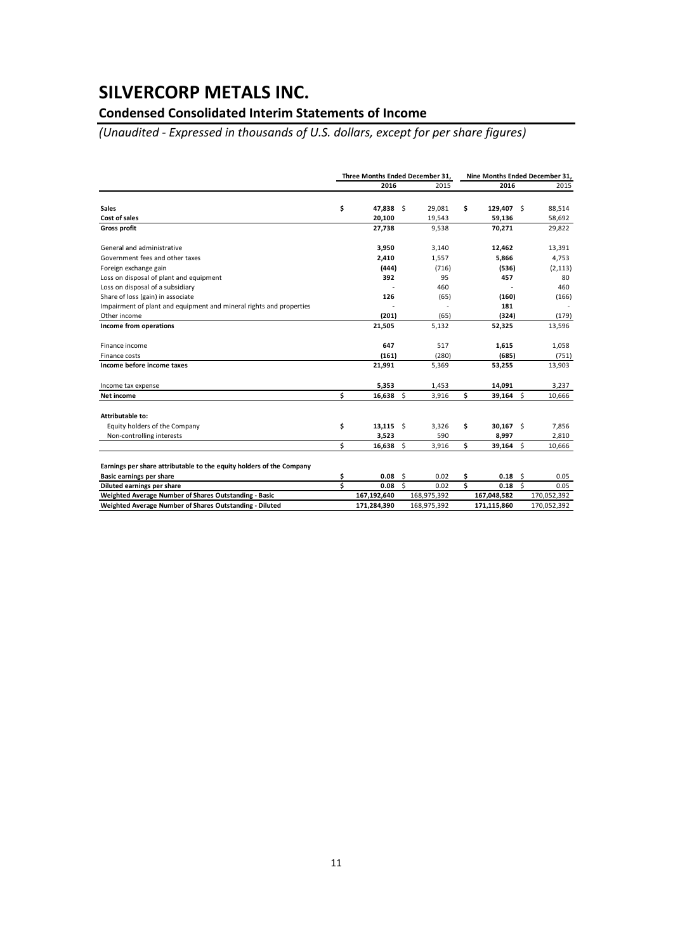## **Condensed Consolidated Interim Statements of Income**

*(Unaudited ‐ Expressed in thousands of U.S. dollars, except for per share figures)*

|                                                                      |    | Three Months Ended December 31, |    |                  | Nine Months Ended December 31, |  |                  |  |
|----------------------------------------------------------------------|----|---------------------------------|----|------------------|--------------------------------|--|------------------|--|
|                                                                      |    | 2016                            |    | 2015             | 2016                           |  | 2015             |  |
| <b>Sales</b>                                                         |    | 47.838                          |    |                  | \$                             |  |                  |  |
| Cost of sales                                                        | \$ | 20,100                          | Ŝ. | 29,081<br>19,543 | 129,407 \$<br>59,136           |  | 88,514<br>58,692 |  |
|                                                                      |    |                                 |    |                  |                                |  |                  |  |
| <b>Gross profit</b>                                                  |    | 27,738                          |    | 9,538            | 70,271                         |  | 29,822           |  |
| General and administrative                                           |    | 3,950                           |    | 3,140            | 12,462                         |  | 13,391           |  |
| Government fees and other taxes                                      |    | 2,410                           |    | 1,557            | 5,866                          |  | 4,753            |  |
| Foreign exchange gain                                                |    | (444)                           |    | (716)            | (536)                          |  | (2, 113)         |  |
| Loss on disposal of plant and equipment                              |    | 392                             |    | 95               | 457                            |  | 80               |  |
| Loss on disposal of a subsidiary                                     |    |                                 |    | 460              |                                |  | 460              |  |
| Share of loss (gain) in associate                                    |    | 126                             |    | (65)             | (160)                          |  | (166)            |  |
| Impairment of plant and equipment and mineral rights and properties  |    |                                 |    |                  | 181                            |  |                  |  |
| Other income                                                         |    | (201)                           |    | (65)             | (324)                          |  | (179)            |  |
| Income from operations                                               |    | 21,505                          |    | 5,132            | 52,325                         |  | 13,596           |  |
| Finance income                                                       |    | 647                             |    | 517              | 1,615                          |  | 1,058            |  |
| Finance costs                                                        |    | (161)                           |    | (280)            | (685)                          |  | (751)            |  |
| Income before income taxes                                           |    | 21,991                          |    | 5,369            | 53,255                         |  | 13,903           |  |
| Income tax expense                                                   |    | 5,353                           |    | 1,453            | 14,091                         |  | 3,237            |  |
| Net income                                                           | \$ | 16,638                          | \$ | 3,916            | \$<br>$39,164$ \$              |  | 10,666           |  |
| Attributable to:                                                     |    |                                 |    |                  |                                |  |                  |  |
| Equity holders of the Company                                        | \$ | $13,115$ \$                     |    | 3,326            | \$<br>$30,167$ \$              |  | 7,856            |  |
| Non-controlling interests                                            |    | 3,523                           |    | 590              | 8,997                          |  | 2,810            |  |
|                                                                      | Ś  | 16,638                          | \$ | 3,916            | \$<br>39,164 \$                |  | 10,666           |  |
| Earnings per share attributable to the equity holders of the Company |    |                                 |    |                  |                                |  |                  |  |
| Basic earnings per share                                             | \$ | 0.08                            | \$ | 0.02             | \$<br>$0.18$ \$                |  | 0.05             |  |
| Diluted earnings per share                                           | Ś  | 0.08                            | Ś. | 0.02             | \$<br>$0.18$ \$                |  | 0.05             |  |
| Weighted Average Number of Shares Outstanding - Basic                |    | 167,192,640                     |    | 168,975,392      | 167,048,582                    |  | 170,052,392      |  |
| Weighted Average Number of Shares Outstanding - Diluted              |    | 171,284,390                     |    | 168,975,392      | 171,115,860                    |  | 170,052,392      |  |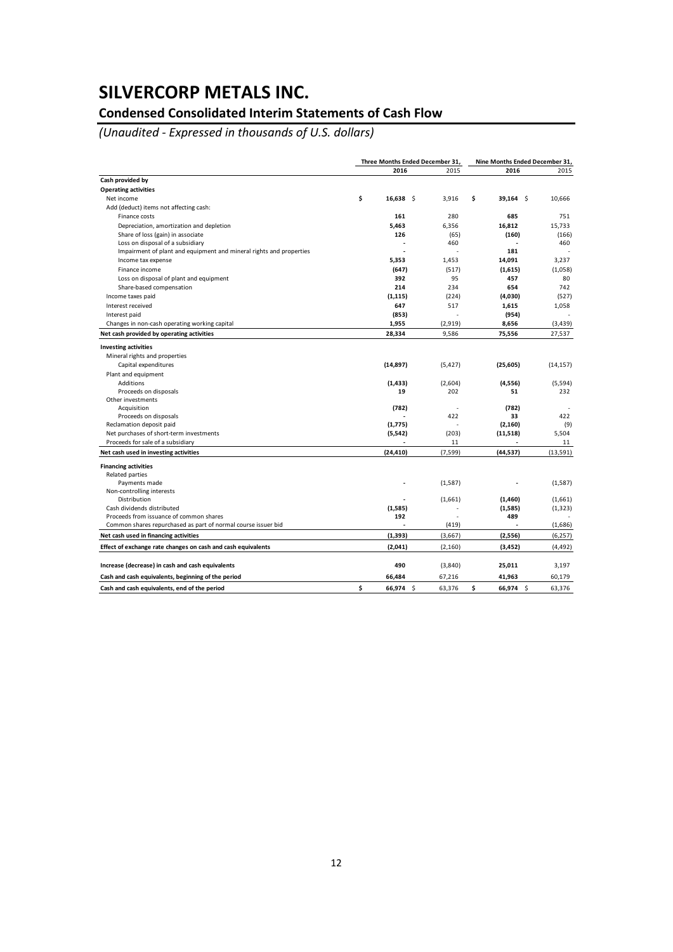## **Condensed Consolidated Interim Statements of Cash Flow**

*(Unaudited ‐ Expressed in thousands of U.S. dollars)*

|                                                                     | Three Months Ended December 31, |          | Nine Months Ended December 31, |             |           |
|---------------------------------------------------------------------|---------------------------------|----------|--------------------------------|-------------|-----------|
|                                                                     | 2016                            | 2015     |                                | 2016        | 2015      |
| Cash provided by                                                    |                                 |          |                                |             |           |
| <b>Operating activities</b>                                         |                                 |          |                                |             |           |
| Net income                                                          | \$<br>$16,638$ \$               | 3,916    | \$                             | $39,164$ \$ | 10,666    |
| Add (deduct) items not affecting cash:                              |                                 |          |                                |             |           |
| Finance costs                                                       | 161                             | 280      |                                | 685         | 751       |
| Depreciation, amortization and depletion                            | 5,463                           | 6,356    | 16,812                         |             | 15.733    |
| Share of loss (gain) in associate                                   | 126                             | (65)     |                                | (160)       | (166)     |
| Loss on disposal of a subsidiary                                    |                                 | 460      |                                |             | 460       |
| Impairment of plant and equipment and mineral rights and properties | $\overline{a}$                  | ÷.       |                                | 181         |           |
| Income tax expense                                                  | 5,353                           | 1,453    | 14,091                         |             | 3,237     |
| Finance income                                                      | (647)                           | (517)    |                                | (1,615)     | (1,058)   |
| Loss on disposal of plant and equipment                             | 392                             | 95       |                                | 457         | 80        |
| Share-based compensation                                            | 214                             | 234      |                                | 654         | 742       |
| Income taxes paid                                                   | (1, 115)                        | (224)    |                                | (4,030)     | (527)     |
| Interest received                                                   | 647                             | 517      |                                | 1,615       | 1,058     |
| Interest paid                                                       | (853)                           |          |                                | (954)       |           |
| Changes in non-cash operating working capital                       | 1,955                           | (2,919)  |                                | 8,656       | (3, 439)  |
| Net cash provided by operating activities                           | 28,334                          | 9,586    | 75,556                         |             | 27,537    |
| <b>Investing activities</b>                                         |                                 |          |                                |             |           |
| Mineral rights and properties                                       |                                 |          |                                |             |           |
| Capital expenditures                                                | (14, 897)                       | (5, 427) | (25, 605)                      |             | (14, 157) |
| Plant and equipment                                                 |                                 |          |                                |             |           |
| <b>Additions</b>                                                    | (1, 433)                        | (2,604)  |                                | (4,556)     | (5,594)   |
| Proceeds on disposals                                               | 19                              | 202      |                                | 51          | 232       |
| Other investments                                                   |                                 |          |                                |             |           |
| Acquisition                                                         | (782)                           |          |                                | (782)       |           |
| Proceeds on disposals                                               |                                 | 422      |                                | 33          | 422       |
| Reclamation deposit paid                                            | (1,775)                         | ä,       |                                | (2, 160)    | (9)       |
| Net purchases of short-term investments                             | (5,542)                         | (203)    | (11,518)                       |             | 5,504     |
| Proceeds for sale of a subsidiary                                   |                                 | 11       |                                |             | 11        |
| Net cash used in investing activities                               | (24, 410)                       | (7, 599) | (44, 537)                      |             | (13,591)  |
| <b>Financing activities</b>                                         |                                 |          |                                |             |           |
| Related parties                                                     |                                 |          |                                |             |           |
| Payments made                                                       |                                 | (1,587)  |                                |             | (1,587)   |
| Non-controlling interests                                           |                                 |          |                                |             |           |
| Distribution                                                        |                                 | (1,661)  |                                | (1,460)     | (1,661)   |
| Cash dividends distributed                                          | (1,585)                         |          |                                | (1,585)     | (1, 323)  |
| Proceeds from issuance of common shares                             | 192                             |          |                                | 489         |           |
| Common shares repurchased as part of normal course issuer bid       |                                 | (419)    |                                |             | (1,686)   |
| Net cash used in financing activities                               | (1, 393)                        | (3,667)  |                                | (2,556)     | (6, 257)  |
| Effect of exchange rate changes on cash and cash equivalents        | (2,041)                         | (2, 160) |                                | (3, 452)    | (4, 492)  |
|                                                                     |                                 |          |                                |             |           |
| Increase (decrease) in cash and cash equivalents                    | 490                             | (3,840)  | 25,011                         |             | 3,197     |
| Cash and cash equivalents, beginning of the period                  | 66,484                          | 67,216   | 41,963                         |             | 60,179    |
| Cash and cash equivalents, end of the period                        | \$<br>66,974 \$                 | 63,376   | \$                             | 66,974 \$   | 63,376    |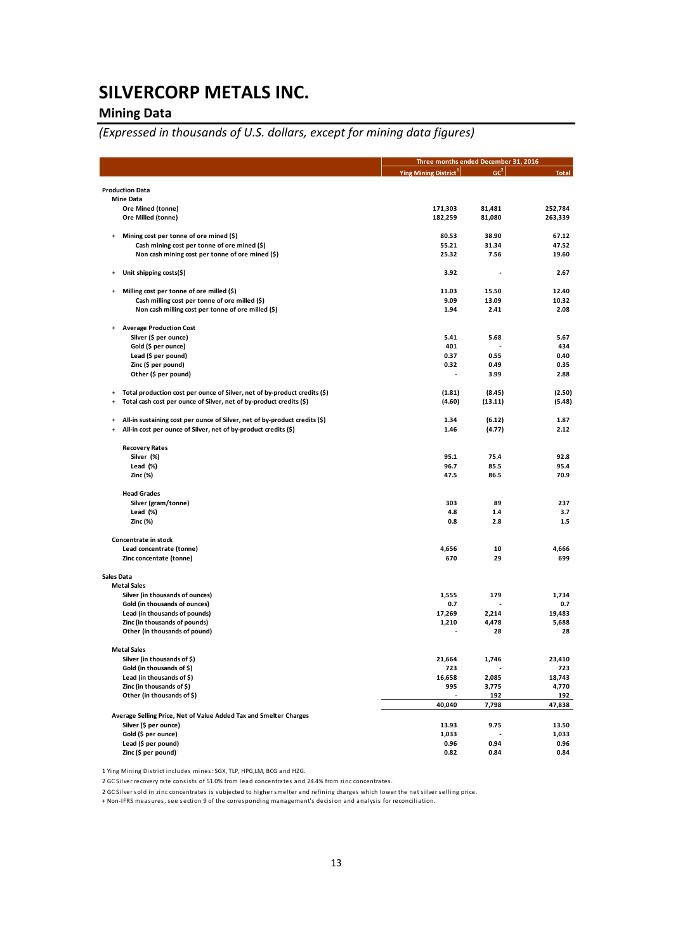## **Mining Data**

 $\overline{\phantom{a}}$ 

# *(Expressed in thousands of U.S. dollars, except for mining data figures)*

|            |                                                                            |                                   | Three months ended December 31, 2016 |               |  |
|------------|----------------------------------------------------------------------------|-----------------------------------|--------------------------------------|---------------|--|
|            |                                                                            | Ying Mining District <sup>1</sup> | $ GC^2 $                             | <b>Total</b>  |  |
|            | <b>Production Data</b>                                                     |                                   |                                      |               |  |
|            | <b>Mine Data</b>                                                           |                                   |                                      |               |  |
|            | Ore Mined (tonne)                                                          | 171,303                           | 81,481                               | 252,784       |  |
|            | Ore Milled (tonne)                                                         | 182,259                           | 81,080                               | 263,339       |  |
| $\ddot{}$  | Mining cost per tonne of ore mined (\$)                                    | 80.53                             | 38.90                                | 67.12         |  |
|            | Cash mining cost per tonne of ore mined (\$)                               | 55.21                             | 31.34                                | 47.52         |  |
|            | Non cash mining cost per tonne of ore mined (\$)                           | 25.32                             | 7.56                                 | 19.60         |  |
| $\ddot{}$  | Unit shipping costs(\$)                                                    | 3.92                              |                                      | 2.67          |  |
| $\ddot{}$  | Milling cost per tonne of ore milled (\$)                                  | 11.03                             | 15.50                                | 12.40         |  |
|            | Cash milling cost per tonne of ore milled (\$)                             | 9.09                              | 13.09                                | 10.32         |  |
|            | Non cash milling cost per tonne of ore milled (\$)                         | 1.94                              | 2.41                                 | 2.08          |  |
| ÷          | <b>Average Production Cost</b>                                             |                                   |                                      |               |  |
|            | Silver (\$ per ounce)                                                      | 5.41                              | 5.68                                 | 5.67          |  |
|            | Gold (\$ per ounce)                                                        | 401                               |                                      | 434           |  |
|            | Lead (\$ per pound)                                                        | 0.37                              | 0.55                                 | 0.40          |  |
|            | Zinc (\$ per pound)                                                        | 0.32                              | 0.49                                 | 0.35          |  |
|            | Other (\$ per pound)                                                       |                                   | 3.99                                 | 2.88          |  |
| $\ddot{}$  | Total production cost per ounce of Silver, net of by-product credits (\$)  | (1.81)                            | (8.45)                               | (2.50)        |  |
| $\ddot{}$  | Total cash cost per ounce of Silver, net of by-product credits (\$)        | (4.60)                            | (13.11)                              | (5.48)        |  |
| $\ddot{}$  | All-in sustaining cost per ounce of Silver, net of by-product credits (\$) | 1.34                              | (6.12)                               | 1.87          |  |
| $\ddot{}$  | All-in cost per ounce of Silver, net of by-product credits (\$)            | 1.46                              | (4.77)                               | 2.12          |  |
|            | <b>Recovery Rates</b>                                                      |                                   |                                      |               |  |
|            | Silver (%)                                                                 | 95.1                              | 75.4                                 | 92.8          |  |
|            | Lead (%)                                                                   | 96.7                              | 85.5                                 | 95.4          |  |
|            | Zinc (%)                                                                   | 47.5                              | 86.5                                 | 70.9          |  |
|            | <b>Head Grades</b>                                                         |                                   |                                      |               |  |
|            | Silver (gram/tonne)                                                        | 303                               | 89                                   | 237           |  |
|            | Lead (%)                                                                   | 4.8                               | 1.4                                  | 3.7           |  |
|            | Zinc (%)                                                                   | 0.8                               | 2.8                                  | 1.5           |  |
|            | Concentrate in stock                                                       |                                   |                                      |               |  |
|            | Lead concentrate (tonne)                                                   | 4,656                             | 10                                   | 4,666         |  |
|            | Zinc concentate (tonne)                                                    | 670                               | 29                                   | 699           |  |
| Sales Data | <b>Metal Sales</b>                                                         |                                   |                                      |               |  |
|            | Silver (in thousands of ounces)                                            | 1,555                             | 179                                  | 1,734         |  |
|            | Gold (in thousands of ounces)                                              | 0.7                               |                                      | 0.7           |  |
|            | Lead (in thousands of pounds)                                              | 17,269                            | 2,214                                | 19.483        |  |
|            | Zinc (in thousands of pounds)                                              | 1,210                             | 4,478                                | 5,688         |  |
|            | Other (in thousands of pound)                                              |                                   | 28                                   | 28            |  |
|            | <b>Metal Sales</b>                                                         |                                   |                                      |               |  |
|            | Silver (in thousands of \$)                                                | 21,664                            | 1,746                                | 23,410        |  |
|            | Gold (in thousands of \$)                                                  | 723                               |                                      | 723           |  |
|            | Lead (in thousands of \$)                                                  | 16,658                            | 2,085                                | 18,743        |  |
|            | Zinc (in thousands of \$)                                                  | 995                               | 3,775                                | 4,770         |  |
|            | Other (in thousands of \$)                                                 | 40,040                            | 192<br>7,798                         | 192<br>47,838 |  |
|            | Average Selling Price, Net of Value Added Tax and Smelter Charges          |                                   |                                      |               |  |
|            | Silver (\$ per ounce)                                                      | 13.93                             | 9.75                                 | 13.50         |  |
|            | Gold (\$ per ounce)                                                        | 1,033                             |                                      | 1,033         |  |
|            | Lead (\$ per pound)                                                        | 0.96                              | 0.94                                 | 0.96          |  |
|            | Zinc (\$ per pound)                                                        | 0.82                              | 0.84                                 | 0.84          |  |

1 Ying Mining District includes mines: SGX, TLP, HPG,LM, BCG and HZG.

2 GC Silver recovery rate consists of 51.0% from lead concentrates and 24.4% from zinc concentrates.

2 GC Silver sold in zinc concentra tes is s ubjected to higher smel ter and re fining cha rges which lower the net silver selling price.

+ Non-IFRS measures, see section 9 of the corresponding management's decision and analysis for reconciliation.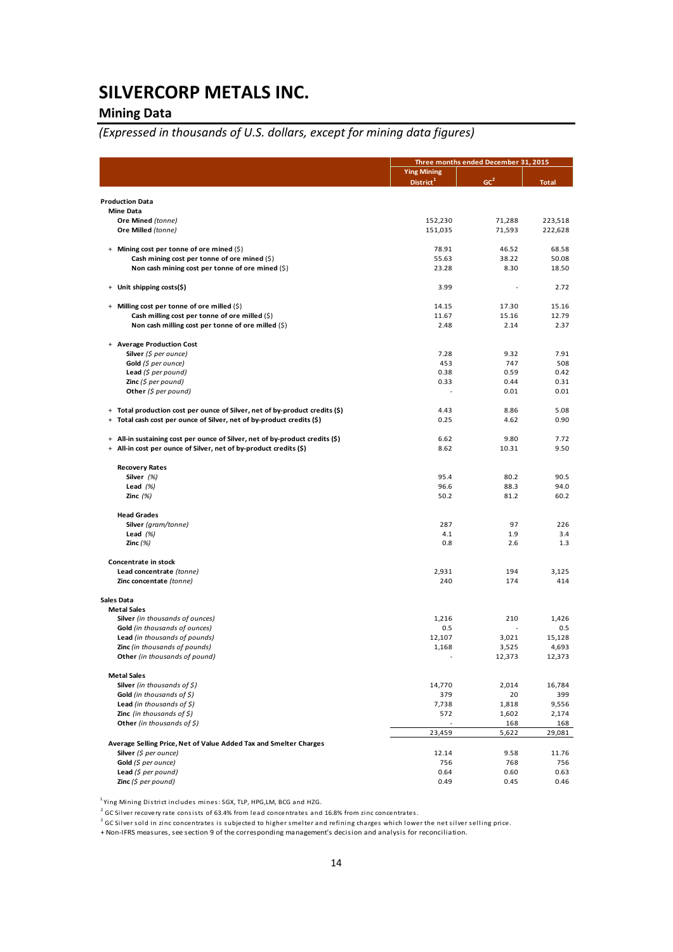## **Mining Data**

# *(Expressed in thousands of U.S. dollars, except for mining data figures)*

|                                                                              | Three months ended December 31, 2015        |                 |               |  |
|------------------------------------------------------------------------------|---------------------------------------------|-----------------|---------------|--|
|                                                                              | <b>Ying Mining</b><br>District <sup>1</sup> | GC <sup>2</sup> | <b>Total</b>  |  |
| <b>Production Data</b>                                                       |                                             |                 |               |  |
| <b>Mine Data</b>                                                             |                                             |                 |               |  |
| Ore Mined (tonne)                                                            | 152,230                                     | 71,288          | 223,518       |  |
| Ore Milled (tonne)                                                           | 151,035                                     | 71,593          | 222,628       |  |
| + Mining cost per tonne of ore mined (\$)                                    | 78.91                                       | 46.52           | 68.58         |  |
| Cash mining cost per tonne of ore mined $(\xi)$                              | 55.63                                       | 38.22           | 50.08         |  |
| Non cash mining cost per tonne of ore mined $(\xi)$                          | 23.28                                       | 8.30            | 18.50         |  |
| + Unit shipping costs(\$)                                                    | 3.99                                        |                 | 2.72          |  |
| + Milling cost per tonne of ore milled (\$)                                  | 14.15                                       | 17.30           | 15.16         |  |
| Cash milling cost per tonne of ore milled $(5)$                              | 11.67                                       | 15.16           | 12.79         |  |
| Non cash milling cost per tonne of ore milled (\$)                           | 2.48                                        | 2.14            | 2.37          |  |
| + Average Production Cost                                                    |                                             |                 |               |  |
| Silver $(5$ per ounce)                                                       | 7.28                                        | 9.32            | 7.91          |  |
| Gold $(5$ per ounce)                                                         | 453                                         | 747             | 508           |  |
| Lead $(5$ per pound)                                                         | 0.38<br>0.33                                | 0.59<br>0.44    | 0.42<br>0.31  |  |
| <b>Zinc</b> ( $$$ per pound)<br>Other (\$ per pound)                         |                                             | 0.01            | 0.01          |  |
|                                                                              |                                             |                 |               |  |
| + Total production cost per ounce of Silver, net of by-product credits (\$)  | 4.43                                        | 8.86            | 5.08          |  |
| + Total cash cost per ounce of Silver, net of by-product credits (\$)        | 0.25                                        | 4.62            | 0.90          |  |
| + All-in sustaining cost per ounce of Silver, net of by-product credits (\$) | 6.62                                        | 9.80            | 7.72          |  |
| + All-in cost per ounce of Silver, net of by-product credits (\$)            | 8.62                                        | 10.31           | 9.50          |  |
| <b>Recovery Rates</b>                                                        |                                             |                 |               |  |
| Silver $(%)$                                                                 | 95.4                                        | 80.2            | 90.5          |  |
| Lead $(%)$                                                                   | 96.6                                        | 88.3            | 94.0          |  |
| Zinc $(%)$                                                                   | 50.2                                        | 81.2            | 60.2          |  |
| <b>Head Grades</b>                                                           |                                             |                 |               |  |
| Silver (gram/tonne)                                                          | 287                                         | 97              | 226           |  |
| Lead $(\%)$                                                                  | 4.1                                         | 1.9             | 3.4           |  |
| Zinc $(\%)$                                                                  | 0.8                                         | 2.6             | 1.3           |  |
| Concentrate in stock                                                         | 2,931                                       | 194             | 3,125         |  |
| Lead concentrate (tonne)<br>Zinc concentate (tonne)                          | 240                                         | 174             | 414           |  |
|                                                                              |                                             |                 |               |  |
| <b>Sales Data</b><br><b>Metal Sales</b>                                      |                                             |                 |               |  |
| Silver (in thousands of ounces)                                              | 1,216                                       | 210             | 1,426         |  |
| Gold (in thousands of ounces)                                                | 0.5                                         |                 | 0.5           |  |
| Lead (in thousands of pounds)                                                | 12,107                                      | 3,021           | 15,128        |  |
| Zinc (in thousands of pounds)                                                | 1,168                                       | 3,525           | 4,693         |  |
| Other (in thousands of pound)                                                |                                             | 12,373          | 12,373        |  |
| <b>Metal Sales</b>                                                           |                                             |                 |               |  |
| <b>Silver</b> (in thousands of $\sharp$ )                                    | 14,770                                      | 2,014           | 16,784        |  |
| Gold (in thousands of $$$ )                                                  | 379                                         | 20              | 399           |  |
| Lead (in thousands of $\zeta$ )                                              | 7,738                                       | 1,818           | 9,556         |  |
| <b>Zinc</b> (in thousands of $\zeta$ )                                       | 572                                         | 1,602           | 2,174         |  |
| Other (in thousands of $\zeta$ )                                             | 23,459                                      | 168<br>5,622    | 168<br>29,081 |  |
| Average Selling Price, Net of Value Added Tax and Smelter Charges            |                                             |                 |               |  |
| Silver $(\xi$ per ounce)                                                     | 12.14                                       | 9.58            | 11.76         |  |
| Gold $(5$ per ounce)                                                         | 756                                         | 768             | 756           |  |
| Lead $(S$ per pound)                                                         | 0.64                                        | 0.60            | 0.63          |  |
| Zinc $(5$ per pound)                                                         | 0.49                                        | 0.45            | 0.46          |  |

<sup>1</sup> Ying Mining District includes mines: SGX, TLP, HPG,LM, BCG and HZG.<br><sup>2</sup> GC Silver recovery rate consists of 63.4% from lead concentrates and 16.8% from zinc concentrates.

 $^2$  GC Silver sold in zinc concentrates is subjected to higher smelter and refining charges which lower the net silver selling price.

+ Non‐IFRS measures, see section 9 of the corresponding management's decision and analysis for reconciliation.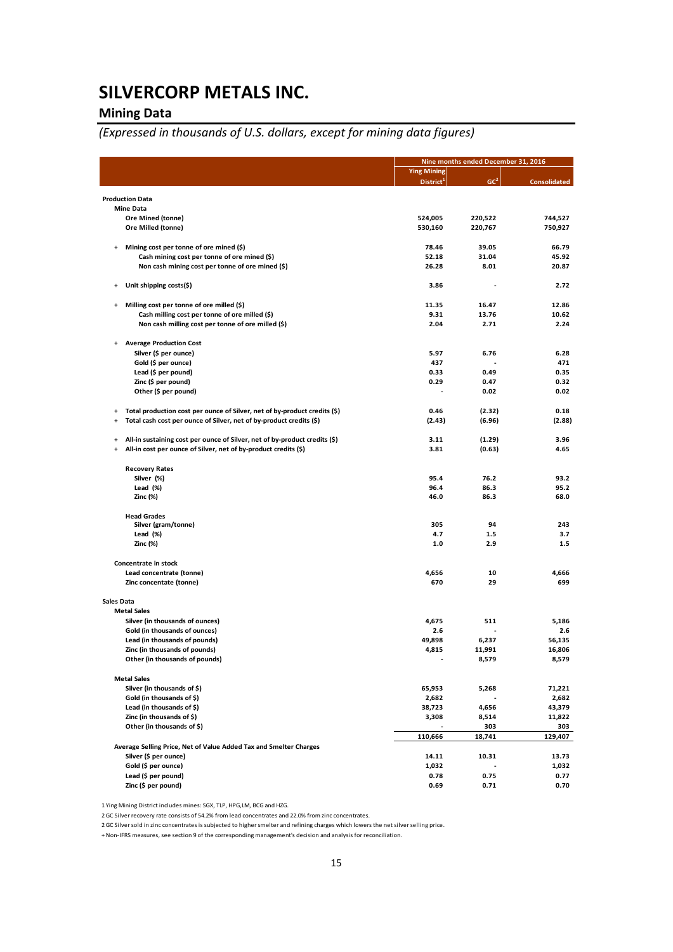## **Mining Data**

# *(Expressed in thousands of U.S. dollars, except for mining data figures)*

|                                                                                                                  | Nine months ended December 31, 2016 |                  |                     |
|------------------------------------------------------------------------------------------------------------------|-------------------------------------|------------------|---------------------|
|                                                                                                                  | <b>Ying Mining</b>                  |                  |                     |
|                                                                                                                  | District <sup>1</sup>               | GC <sup>2</sup>  | <b>Consolidated</b> |
|                                                                                                                  |                                     |                  |                     |
| <b>Production Data</b><br><b>Mine Data</b>                                                                       |                                     |                  |                     |
| Ore Mined (tonne)                                                                                                | 524,005                             | 220,522          | 744,527             |
| Ore Milled (tonne)                                                                                               | 530,160                             | 220,767          | 750,927             |
|                                                                                                                  |                                     |                  |                     |
| Mining cost per tonne of ore mined (\$)<br>$\ddot{}$                                                             | 78.46                               | 39.05            | 66.79               |
| Cash mining cost per tonne of ore mined (\$)                                                                     | 52.18                               | 31.04            | 45.92               |
| Non cash mining cost per tonne of ore mined (\$)                                                                 | 26.28                               | 8.01             | 20.87               |
|                                                                                                                  |                                     |                  |                     |
| Unit shipping costs(\$)<br>$\ddot{}$                                                                             | 3.86                                |                  | 2.72                |
| Milling cost per tonne of ore milled (\$)<br>$\begin{array}{c} + \end{array}$                                    | 11.35                               | 16.47            | 12.86               |
| Cash milling cost per tonne of ore milled (\$)                                                                   | 9.31                                | 13.76            | 10.62               |
| Non cash milling cost per tonne of ore milled (\$)                                                               | 2.04                                | 2.71             | 2.24                |
|                                                                                                                  |                                     |                  |                     |
| <b>Average Production Cost</b><br>$\ddot{}$                                                                      |                                     |                  |                     |
| Silver (\$ per ounce)                                                                                            | 5.97                                | 6.76             | 6.28                |
| Gold (\$ per ounce)                                                                                              | 437                                 |                  | 471                 |
| Lead (\$ per pound)                                                                                              | 0.33                                | 0.49             | 0.35                |
| Zinc (\$ per pound)                                                                                              | 0.29                                | 0.47             | 0.32                |
| Other (\$ per pound)                                                                                             |                                     | 0.02             | 0.02                |
|                                                                                                                  |                                     |                  |                     |
| Total production cost per ounce of Silver, net of by-product credits (\$)<br>$\ddot{}$                           | 0.46                                | (2.32)           | 0.18                |
| Total cash cost per ounce of Silver, net of by-product credits (\$)<br>$\begin{array}{c} + \end{array}$          | (2.43)                              | (6.96)           | (2.88)              |
| All-in sustaining cost per ounce of Silver, net of by-product credits (\$)                                       |                                     |                  |                     |
| $\begin{array}{c} + \end{array}$<br>All-in cost per ounce of Silver, net of by-product credits (\$)<br>$\ddot{}$ | 3.11<br>3.81                        | (1.29)<br>(0.63) | 3.96<br>4.65        |
|                                                                                                                  |                                     |                  |                     |
| <b>Recovery Rates</b>                                                                                            |                                     |                  |                     |
| Silver (%)                                                                                                       | 95.4                                | 76.2             | 93.2                |
| Lead (%)                                                                                                         | 96.4                                | 86.3             | 95.2                |
| Zinc (%)                                                                                                         | 46.0                                | 86.3             | 68.0                |
| <b>Head Grades</b>                                                                                               |                                     |                  |                     |
| Silver (gram/tonne)                                                                                              | 305                                 | 94               | 243                 |
| Lead $(\%)$                                                                                                      | 4.7                                 | 1.5              | 3.7                 |
| Zinc (%)                                                                                                         | 1.0                                 | 2.9              | 1.5                 |
|                                                                                                                  |                                     |                  |                     |
| Concentrate in stock                                                                                             |                                     |                  |                     |
| Lead concentrate (tonne)                                                                                         | 4,656                               | 10               | 4,666               |
| Zinc concentate (tonne)                                                                                          | 670                                 | 29               | 699                 |
| <b>Sales Data</b>                                                                                                |                                     |                  |                     |
| <b>Metal Sales</b>                                                                                               |                                     |                  |                     |
| Silver (in thousands of ounces)                                                                                  | 4,675                               | 511              | 5,186               |
| Gold (in thousands of ounces)                                                                                    | 2.6                                 |                  | 2.6                 |
| Lead (in thousands of pounds)                                                                                    | 49,898                              | 6,237            | 56,135              |
| Zinc (in thousands of pounds)                                                                                    | 4,815                               | 11,991           | 16,806              |
| Other (in thousands of pounds)                                                                                   |                                     | 8,579            | 8,579               |
|                                                                                                                  |                                     |                  |                     |
| <b>Metal Sales</b>                                                                                               |                                     |                  |                     |
| Silver (in thousands of \$)                                                                                      | 65,953                              | 5,268            | 71,221              |
| Gold (in thousands of \$)<br>Lead (in thousands of \$)                                                           | 2,682                               |                  | 2,682               |
| Zinc (in thousands of \$)                                                                                        | 38,723                              | 4,656            | 43,379              |
| Other (in thousands of \$)                                                                                       | 3,308                               | 8,514<br>303     | 11,822<br>303       |
|                                                                                                                  | 110,666                             | 18,741           | 129,407             |
| Average Selling Price, Net of Value Added Tax and Smelter Charges                                                |                                     |                  |                     |
| Silver (\$ per ounce)                                                                                            | 14.11                               | 10.31            | 13.73               |
| Gold (\$ per ounce)                                                                                              | 1,032                               |                  | 1,032               |
| Lead (\$ per pound)                                                                                              | 0.78                                | 0.75             | 0.77                |
| Zinc (\$ per pound)                                                                                              | 0.69                                | 0.71             | 0.70                |

1 Ying Mining District includes mines: SGX, TLP, HPG,LM, BCG and HZG.

2GC Silver recovery rate consists of 54.2% from lead concentrates and 22.0% from zinc concentrates.

2GC Silversold in zinc concentrates is subjected to highersmelter and refining charges which lowers the netsilverselling price.

+ Non‐IFRS measures, see section 9 of the corresponding management's decision and analysis for reconciliation.